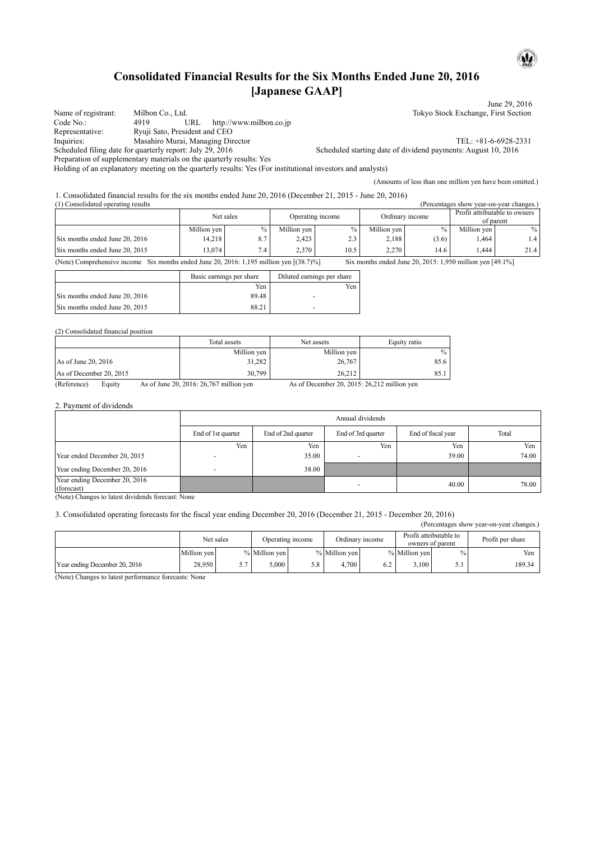## **Consolidated Financial Results for the Six Months Ended June 20, 2016 [Japanese GAAP]**

|                                    |                                                                                                              | June 29, 2016                                                 |
|------------------------------------|--------------------------------------------------------------------------------------------------------------|---------------------------------------------------------------|
| Name of registrant:                | Milbon Co., Ltd.                                                                                             | Tokyo Stock Exchange, First Section                           |
| Code No.:                          | http://www.milbon.co.jp<br>URL<br>4919                                                                       |                                                               |
| Representative:                    | Ryuji Sato, President and CEO                                                                                |                                                               |
| Inquiries:                         | Masahiro Murai, Managing Director                                                                            | TEL: +81-6-6928-2331                                          |
|                                    | Scheduled filing date for quarterly report: July 29, 2016                                                    | Scheduled starting date of dividend payments: August 10, 2016 |
|                                    | Preparation of supplementary materials on the quarterly results: Yes                                         |                                                               |
|                                    | Holding of an explanatory meeting on the quarterly results: Yes (For institutional investors and analysts)   |                                                               |
|                                    |                                                                                                              | (Amounts of less than one million yen have been omitted.)     |
|                                    | 1. Consolidated financial results for the six months ended June 20, 2016 (December 21, 2015 - June 20, 2016) |                                                               |
| (1) Consolidated operating results |                                                                                                              | (Percentages show year-on-year changes.)                      |
|                                    |                                                                                                              |                                                               |

|                                                                                                                                                         | Net sales   |      | Operating income |      | Ordinary income |               | Profit attributable to owners<br>of parent |      |
|---------------------------------------------------------------------------------------------------------------------------------------------------------|-------------|------|------------------|------|-----------------|---------------|--------------------------------------------|------|
|                                                                                                                                                         | Million ven | $\%$ | Million ven      | $\%$ | Million ven     | $\frac{0}{0}$ | Million ven                                | $\%$ |
| Six months ended June 20, 2016                                                                                                                          | 14.218      | 8.7  | 2.423            | 2.3  | 2.188           | (3.6)         | 1.464                                      | 1.4  |
| Six months ended June 20, 2015                                                                                                                          | 13.074      | 7.4  | 2.370            | 10.5 | 2.270           | 14.6          | .444                                       | 21.4 |
| (Note) Comprehensive income Six months ended June 20, 2016: 1,195 million yen $[(38.7)\%]$<br>Six months ended June 20, 2015: 1,950 million yen [49.1%] |             |      |                  |      |                 |               |                                            |      |

|                                | Basic earnings per share | Diluted earnings per share |
|--------------------------------|--------------------------|----------------------------|
|                                | Yen                      | Yen                        |
| Six months ended June 20, 2016 | 89.48                    |                            |
| Six months ended June 20, 2015 | 88.21                    |                            |

#### (2) Consolidated financial position

|                                        | Total assets | Net assets    | Equity ratio |
|----------------------------------------|--------------|---------------|--------------|
|                                        | Million yen  | Million yen   | $\%$         |
| As of June 20, 2016                    | 31,282       | 26,767        | 85.6         |
| As of December 20, 2015                | 30,799       | 26,212        | 85.1         |
| $\sim$<br>$\mathbf{r}$<br>$\mathbf{r}$ |              | $\sim$ $\sim$ |              |

(Reference) Equity As of June 20, 2016: 26,767 million yen As of December 20, 2015: 26,212 million yen

#### 2. Payment of dividends

|                                                                          | Annual dividends   |                    |                          |                    |       |  |  |  |  |
|--------------------------------------------------------------------------|--------------------|--------------------|--------------------------|--------------------|-------|--|--|--|--|
|                                                                          | End of 1st quarter | End of 2nd quarter | End of 3rd quarter       | End of fiscal year | Total |  |  |  |  |
|                                                                          | Yen                | Yen                | Yen                      | Yen                | Yen   |  |  |  |  |
| Year ended December 20, 2015                                             |                    | 35.00              |                          | 39.00              | 74.00 |  |  |  |  |
| Year ending December 20, 2016                                            |                    | 38.00              |                          |                    |       |  |  |  |  |
| Year ending December 20, 2016<br>(forecast)<br>.<br>$\sim$ $\sim$ $\sim$ |                    |                    | $\overline{\phantom{0}}$ | 40.00              | 78.00 |  |  |  |  |

(Note) Changes to latest dividends forecast: None

### 3. Consolidated operating forecasts for the fiscal year ending December 20, 2016 (December 21, 2015 - December 20, 2016)

(Percentages show year-on-year changes.)

|                               |             | Net sales | Operating income |     | Ordinary income |     | Profit attributable to<br>owners of parent |      | Profit per share |
|-------------------------------|-------------|-----------|------------------|-----|-----------------|-----|--------------------------------------------|------|------------------|
|                               | Million yen |           | % Million yen    |     | % Million yen   |     | % Million yen                              | $\%$ | Yen              |
| Year ending December 20, 2016 | 28,950      | J.,       | .000             | 5.8 | 4.700           | 6.2 | 3.100                                      | J.I  | 189.34           |

(Note) Changes to latest performance forecasts: None

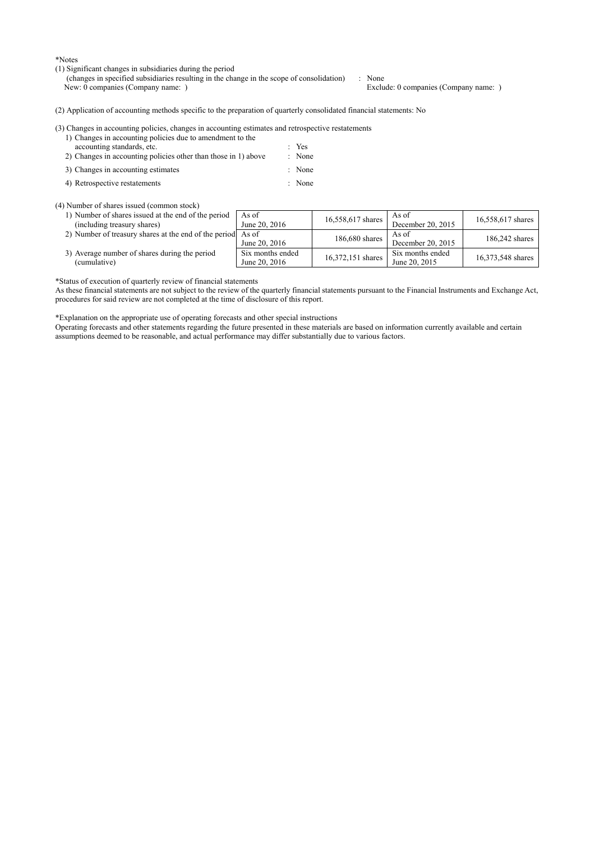\*Notes

- (1) Significant changes in subsidiaries during the period
	- (changes in specified subsidiaries resulting in the change in the scope of consolidation) : None<br>New: 0 companies (Company name: ) Exclu Exclude: 0 companies (Company name: )

(2) Application of accounting methods specific to the preparation of quarterly consolidated financial statements: No

| (3) Changes in accounting policies, changes in accounting estimates and retrospective restatements |        |
|----------------------------------------------------------------------------------------------------|--------|
| 1) Changes in accounting policies due to amendment to the                                          |        |
| accounting standards, etc.                                                                         | $Y$ es |
| 2) Changes in accounting policies other than those in 1) above                                     | : None |
| 3) Changes in accounting estimates                                                                 | : None |

4) Retrospective restatements : None

#### (4) Number of shares issued (common stock)

- 1) Number of shares issued at the end of the period (including treasury shares) As of<br>June 20, 2016  $16,558,617$  shares  $\overline{AB}$ As of<br>December 20, 2015 16,558,617 shares 2) Number of treasury shares at the end of the period As of As of June 20, 2016 186,680 shares  $\begin{array}{|l|l|}\n\hline\n\end{array}$  As of As of<br>December 20, 2015 186,242 shares
- 3) Average number of shares during the period (cumulative) Six months ended Six months ended<br>June 20, 2016 16,372,151 shares  $\begin{array}{|l|l|}\n\hline\n\text{Six months ended} \\
\text{June 20, 2015}\n\end{array}$

\*Status of execution of quarterly review of financial statements

As these financial statements are not subject to the review of the quarterly financial statements pursuant to the Financial Instruments and Exchange Act, procedures for said review are not completed at the time of disclosure of this report.

16,373,548 shares

\*Explanation on the appropriate use of operating forecasts and other special instructions

Operating forecasts and other statements regarding the future presented in these materials are based on information currently available and certain assumptions deemed to be reasonable, and actual performance may differ substantially due to various factors.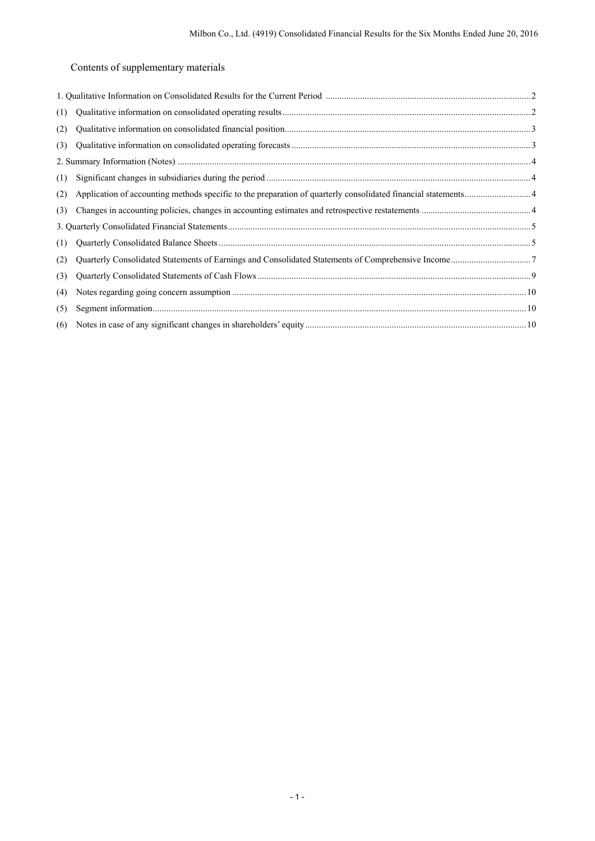Contents of supplementary materials

| (1) |  |
|-----|--|
| (2) |  |
| (3) |  |
|     |  |
| (1) |  |
| (2) |  |
| (3) |  |
|     |  |
| (1) |  |
| (2) |  |
| (3) |  |
| (4) |  |
| (5) |  |
| (6) |  |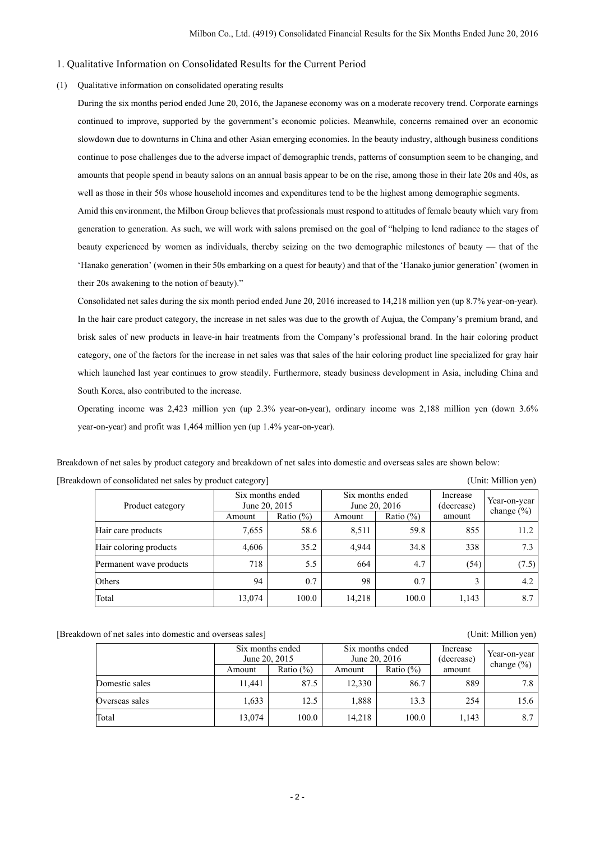#### 1. Qualitative Information on Consolidated Results for the Current Period

#### (1) Qualitative information on consolidated operating results

During the six months period ended June 20, 2016, the Japanese economy was on a moderate recovery trend. Corporate earnings continued to improve, supported by the government's economic policies. Meanwhile, concerns remained over an economic slowdown due to downturns in China and other Asian emerging economies. In the beauty industry, although business conditions continue to pose challenges due to the adverse impact of demographic trends, patterns of consumption seem to be changing, and amounts that people spend in beauty salons on an annual basis appear to be on the rise, among those in their late 20s and 40s, as well as those in their 50s whose household incomes and expenditures tend to be the highest among demographic segments.

Amid this environment, the Milbon Group believes that professionals must respond to attitudes of female beauty which vary from generation to generation. As such, we will work with salons premised on the goal of "helping to lend radiance to the stages of beauty experienced by women as individuals, thereby seizing on the two demographic milestones of beauty — that of the 'Hanako generation' (women in their 50s embarking on a quest for beauty) and that of the 'Hanako junior generation' (women in their 20s awakening to the notion of beauty)."

Consolidated net sales during the six month period ended June 20, 2016 increased to 14,218 million yen (up 8.7% year-on-year). In the hair care product category, the increase in net sales was due to the growth of Aujua, the Company's premium brand, and brisk sales of new products in leave-in hair treatments from the Company's professional brand. In the hair coloring product category, one of the factors for the increase in net sales was that sales of the hair coloring product line specialized for gray hair which launched last year continues to grow steadily. Furthermore, steady business development in Asia, including China and South Korea, also contributed to the increase.

Operating income was 2,423 million yen (up 2.3% year-on-year), ordinary income was 2,188 million yen (down 3.6% year-on-year) and profit was 1,464 million yen (up 1.4% year-on-year).

Breakdown of net sales by product category and breakdown of net sales into domestic and overseas sales are shown below:

| Product category        | Six months ended<br>June 20, 2015 |               | Six months ended<br>June 20, 2016 |               | Increase<br>(decrease) | Year-on-year<br>change $(\% )$ |
|-------------------------|-----------------------------------|---------------|-----------------------------------|---------------|------------------------|--------------------------------|
|                         | Amount                            | Ratio $(\% )$ | Amount                            | Ratio $(\% )$ | amount                 |                                |
| Hair care products      | 7,655                             | 58.6          | 8,511                             | 59.8          | 855                    | 11.2                           |
| Hair coloring products  | 4,606                             | 35.2          | 4.944                             | 34.8          | 338                    | 7.3                            |
| Permanent wave products | 718                               | 5.5           | 664                               | 4.7           | (54)                   | (7.5)                          |
| Others                  | 94                                | 0.7           | 98                                | 0.7           | 3                      | 4.2                            |
| Total                   | 13,074                            | 100.0         | 14,218                            | 100.0         | 1,143                  | 8.7                            |

[Breakdown of consolidated net sales by product category] (Unit: Million yen)

[Breakdown of net sales into domestic and overseas sales] (Unit: Million yen)

|                | Six months ended<br>June 20, 2015 |               | Six months ended<br>June 20, 2016 |               | Increase<br>(decrease) | Year-on-year   |
|----------------|-----------------------------------|---------------|-----------------------------------|---------------|------------------------|----------------|
|                | Amount                            | Ratio $(\% )$ | Amount                            | Ratio $(\% )$ | amount                 | change $(\% )$ |
| Domestic sales | 11.441                            | 87.5          | 12.330                            | 86.7          | 889                    | 7.8            |
| Overseas sales | 1,633                             | 12.5          | 1,888                             | 13.3          | 254                    | 15.6           |
| Total          | 13,074                            | 100.0         | 14,218                            | 100.0         | 1,143                  | 8.7            |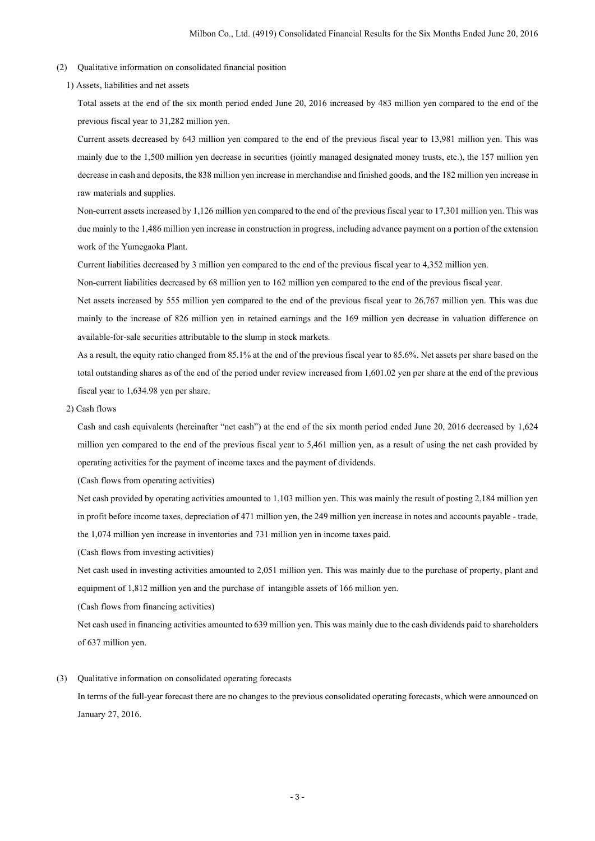- (2) Qualitative information on consolidated financial position
	- 1) Assets, liabilities and net assets

Total assets at the end of the six month period ended June 20, 2016 increased by 483 million yen compared to the end of the previous fiscal year to 31,282 million yen.

Current assets decreased by 643 million yen compared to the end of the previous fiscal year to 13,981 million yen. This was mainly due to the 1,500 million yen decrease in securities (jointly managed designated money trusts, etc.), the 157 million yen decrease in cash and deposits, the 838 million yen increase in merchandise and finished goods, and the 182 million yen increase in raw materials and supplies.

Non-current assets increased by 1,126 million yen compared to the end of the previous fiscal year to 17,301 million yen. This was due mainly to the 1,486 million yen increase in construction in progress, including advance payment on a portion of the extension work of the Yumegaoka Plant.

Current liabilities decreased by 3 million yen compared to the end of the previous fiscal year to 4,352 million yen.

Non-current liabilities decreased by 68 million yen to 162 million yen compared to the end of the previous fiscal year.

Net assets increased by 555 million yen compared to the end of the previous fiscal year to 26,767 million yen. This was due mainly to the increase of 826 million yen in retained earnings and the 169 million yen decrease in valuation difference on available-for-sale securities attributable to the slump in stock markets.

As a result, the equity ratio changed from 85.1% at the end of the previous fiscal year to 85.6%. Net assets per share based on the total outstanding shares as of the end of the period under review increased from 1,601.02 yen per share at the end of the previous fiscal year to 1,634.98 yen per share.

2) Cash flows

Cash and cash equivalents (hereinafter "net cash") at the end of the six month period ended June 20, 2016 decreased by 1,624 million yen compared to the end of the previous fiscal year to 5,461 million yen, as a result of using the net cash provided by operating activities for the payment of income taxes and the payment of dividends.

(Cash flows from operating activities)

Net cash provided by operating activities amounted to 1,103 million yen. This was mainly the result of posting 2,184 million yen in profit before income taxes, depreciation of 471 million yen, the 249 million yen increase in notes and accounts payable - trade, the 1,074 million yen increase in inventories and 731 million yen in income taxes paid.

(Cash flows from investing activities)

Net cash used in investing activities amounted to 2,051 million yen. This was mainly due to the purchase of property, plant and equipment of 1,812 million yen and the purchase of intangible assets of 166 million yen.

(Cash flows from financing activities)

Net cash used in financing activities amounted to 639 million yen. This was mainly due to the cash dividends paid to shareholders of 637 million yen.

(3) Qualitative information on consolidated operating forecasts In terms of the full-year forecast there are no changes to the previous consolidated operating forecasts, which were announced on

January 27, 2016.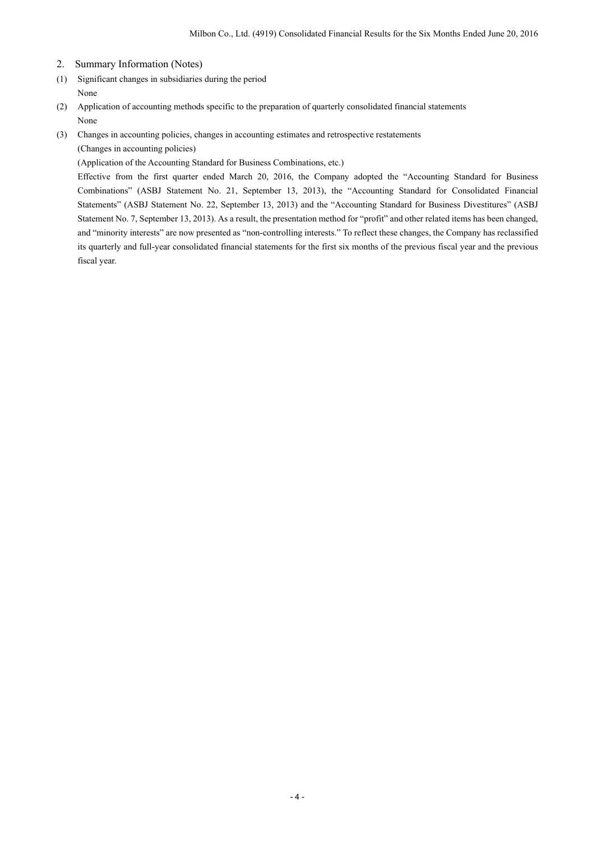- 2. Summary Information (Notes)
- (1) Significant changes in subsidiaries during the period None
- (2) Application of accounting methods specific to the preparation of quarterly consolidated financial statements None
- (3) Changes in accounting policies, changes in accounting estimates and retrospective restatements (Changes in accounting policies)

(Application of the Accounting Standard for Business Combinations, etc.)

Effective from the first quarter ended March 20, 2016, the Company adopted the "Accounting Standard for Business Combinations" (ASBJ Statement No. 21, September 13, 2013), the "Accounting Standard for Consolidated Financial Statements" (ASBJ Statement No. 22, September 13, 2013) and the "Accounting Standard for Business Divestitures" (ASBJ Statement No. 7, September 13, 2013). As a result, the presentation method for "profit" and other related items has been changed, and "minority interests" are now presented as "non-controlling interests." To reflect these changes, the Company has reclassified its quarterly and full-year consolidated financial statements for the first six months of the previous fiscal year and the previous fiscal year.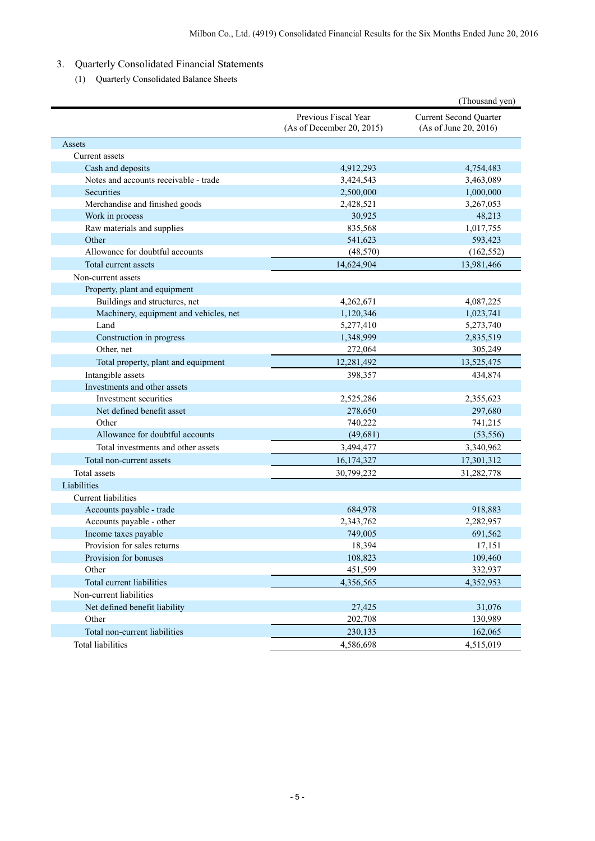# 3. Quarterly Consolidated Financial Statements

(1) Quarterly Consolidated Balance Sheets

|                                        |                                                   | (Thousand yen)                                         |
|----------------------------------------|---------------------------------------------------|--------------------------------------------------------|
|                                        | Previous Fiscal Year<br>(As of December 20, 2015) | <b>Current Second Quarter</b><br>(As of June 20, 2016) |
| Assets                                 |                                                   |                                                        |
| Current assets                         |                                                   |                                                        |
| Cash and deposits                      | 4,912,293                                         | 4,754,483                                              |
| Notes and accounts receivable - trade  | 3,424,543                                         | 3,463,089                                              |
| Securities                             | 2,500,000                                         | 1,000,000                                              |
| Merchandise and finished goods         | 2,428,521                                         | 3,267,053                                              |
| Work in process                        | 30,925                                            | 48,213                                                 |
| Raw materials and supplies             | 835,568                                           | 1,017,755                                              |
| Other                                  | 541,623                                           | 593,423                                                |
| Allowance for doubtful accounts        | (48, 570)                                         | (162, 552)                                             |
| Total current assets                   | 14,624,904                                        | 13,981,466                                             |
| Non-current assets                     |                                                   |                                                        |
| Property, plant and equipment          |                                                   |                                                        |
| Buildings and structures, net          | 4,262,671                                         | 4,087,225                                              |
| Machinery, equipment and vehicles, net | 1,120,346                                         | 1,023,741                                              |
| Land                                   | 5,277,410                                         | 5,273,740                                              |
| Construction in progress               | 1,348,999                                         | 2,835,519                                              |
| Other, net                             | 272,064                                           | 305,249                                                |
| Total property, plant and equipment    | 12,281,492                                        | 13,525,475                                             |
| Intangible assets                      | 398,357                                           | 434,874                                                |
| Investments and other assets           |                                                   |                                                        |
| Investment securities                  | 2,525,286                                         | 2,355,623                                              |
| Net defined benefit asset              | 278,650                                           | 297,680                                                |
| Other                                  | 740,222                                           | 741,215                                                |
| Allowance for doubtful accounts        | (49,681)                                          | (53, 556)                                              |
| Total investments and other assets     | 3,494,477                                         | 3,340,962                                              |
| Total non-current assets               | 16,174,327                                        | 17,301,312                                             |
| Total assets                           | 30,799,232                                        | 31,282,778                                             |
| Liabilities                            |                                                   |                                                        |
| Current liabilities                    |                                                   |                                                        |
| Accounts payable - trade               | 684,978                                           | 918,883                                                |
| Accounts payable - other               | 2,343,762                                         | 2,282,957                                              |
| Income taxes payable                   | 749,005                                           | 691,562                                                |
| Provision for sales returns            | 18,394                                            | 17,151                                                 |
| Provision for bonuses                  | 108,823                                           | 109,460                                                |
| Other                                  | 451,599                                           | 332,937                                                |
| Total current liabilities              | 4,356,565                                         | 4,352,953                                              |
| Non-current liabilities                |                                                   |                                                        |
| Net defined benefit liability          | 27,425                                            | 31,076                                                 |
| Other                                  | 202,708                                           | 130,989                                                |
| Total non-current liabilities          | 230,133                                           | 162,065                                                |
| <b>Total liabilities</b>               | 4,586,698                                         | 4,515,019                                              |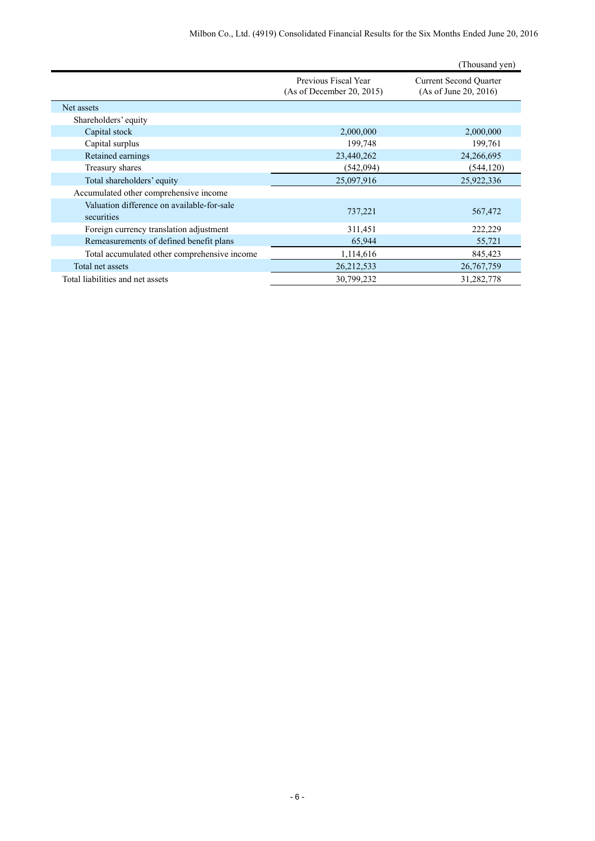|                                                          |                                                   | (Thousand yen)                                         |
|----------------------------------------------------------|---------------------------------------------------|--------------------------------------------------------|
|                                                          | Previous Fiscal Year<br>(As of December 20, 2015) | <b>Current Second Quarter</b><br>(As of June 20, 2016) |
| Net assets                                               |                                                   |                                                        |
| Shareholders' equity                                     |                                                   |                                                        |
| Capital stock                                            | 2,000,000                                         | 2,000,000                                              |
| Capital surplus                                          | 199,748                                           | 199,761                                                |
| Retained earnings                                        | 23,440,262                                        | 24,266,695                                             |
| Treasury shares                                          | (542, 094)                                        | (544, 120)                                             |
| Total shareholders' equity                               | 25,097,916                                        | 25,922,336                                             |
| Accumulated other comprehensive income                   |                                                   |                                                        |
| Valuation difference on available-for-sale<br>securities | 737,221                                           | 567,472                                                |
| Foreign currency translation adjustment                  | 311,451                                           | 222,229                                                |
| Remeasurements of defined benefit plans                  | 65,944                                            | 55,721                                                 |
| Total accumulated other comprehensive income             | 1,114,616                                         | 845,423                                                |
| Total net assets                                         | 26, 212, 533                                      | 26,767,759                                             |
| Total liabilities and net assets                         | 30,799,232                                        | 31,282,778                                             |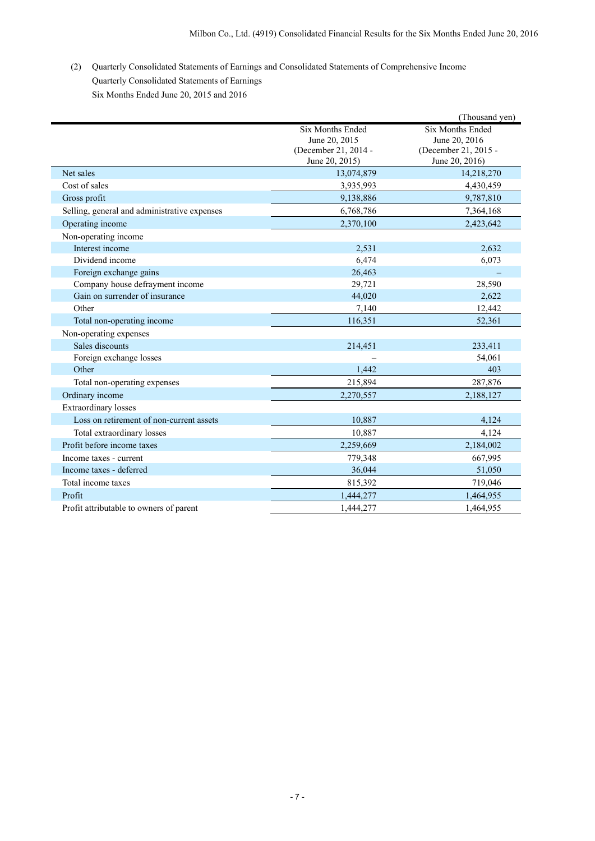(2) Quarterly Consolidated Statements of Earnings and Consolidated Statements of Comprehensive Income Quarterly Consolidated Statements of Earnings Six Months Ended June 20, 2015 and 2016

|                                              |                      | (Thousand yen)       |
|----------------------------------------------|----------------------|----------------------|
|                                              | Six Months Ended     | Six Months Ended     |
|                                              | June 20, 2015        | June 20, 2016        |
|                                              | (December 21, 2014 - | (December 21, 2015 - |
|                                              | June 20, 2015)       | June 20, 2016)       |
| Net sales                                    | 13,074,879           | 14,218,270           |
| Cost of sales                                | 3,935,993            | 4,430,459            |
| Gross profit                                 | 9,138,886            | 9,787,810            |
| Selling, general and administrative expenses | 6,768,786            | 7,364,168            |
| Operating income                             | 2,370,100            | 2,423,642            |
| Non-operating income                         |                      |                      |
| Interest income                              | 2,531                | 2,632                |
| Dividend income                              | 6,474                | 6,073                |
| Foreign exchange gains                       | 26,463               |                      |
| Company house defrayment income              | 29,721               | 28,590               |
| Gain on surrender of insurance               | 44,020               | 2,622                |
| Other                                        | 7,140                | 12,442               |
| Total non-operating income                   | 116,351              | 52,361               |
| Non-operating expenses                       |                      |                      |
| Sales discounts                              | 214,451              | 233,411              |
| Foreign exchange losses                      |                      | 54,061               |
| Other                                        | 1,442                | 403                  |
| Total non-operating expenses                 | 215,894              | 287,876              |
| Ordinary income                              | 2,270,557            | 2,188,127            |
| Extraordinary losses                         |                      |                      |
| Loss on retirement of non-current assets     | 10,887               | 4,124                |
| Total extraordinary losses                   | 10,887               | 4,124                |
| Profit before income taxes                   | 2,259,669            | 2,184,002            |
| Income taxes - current                       | 779,348              | 667,995              |
| Income taxes - deferred                      | 36,044               | 51,050               |
| Total income taxes                           | 815,392              | 719,046              |
| Profit                                       | 1,444,277            | 1,464,955            |
| Profit attributable to owners of parent      | 1.444.277            | 1,464,955            |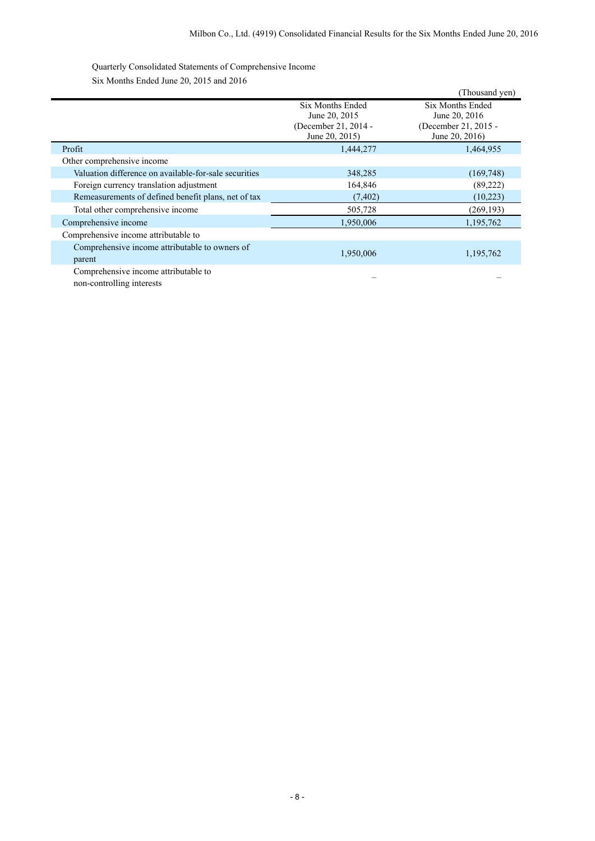Quarterly Consolidated Statements of Comprehensive Income Six Months Ended June 20, 2015 and 2016

|                                                          |                                                                             | (Thousand yen)                                                              |
|----------------------------------------------------------|-----------------------------------------------------------------------------|-----------------------------------------------------------------------------|
|                                                          | Six Months Ended<br>June 20, 2015<br>(December 21, 2014 -<br>June 20, 2015) | Six Months Ended<br>June 20, 2016<br>(December 21, 2015 -<br>June 20, 2016) |
| Profit                                                   | 1,444,277                                                                   | 1,464,955                                                                   |
| Other comprehensive income                               |                                                                             |                                                                             |
| Valuation difference on available-for-sale securities    | 348,285                                                                     | (169, 748)                                                                  |
| Foreign currency translation adjustment                  | 164,846                                                                     | (89,222)                                                                    |
| Remeasurements of defined benefit plans, net of tax      | (7, 402)                                                                    | (10,223)                                                                    |
| Total other comprehensive income                         | 505,728                                                                     | (269, 193)                                                                  |
| Comprehensive income                                     | 1,950,006                                                                   | 1,195,762                                                                   |
| Comprehensive income attributable to                     |                                                                             |                                                                             |
| Comprehensive income attributable to owners of<br>parent | 1,950,006                                                                   | 1,195,762                                                                   |
| Comprehensive income attributable to                     |                                                                             |                                                                             |

non-controlling interests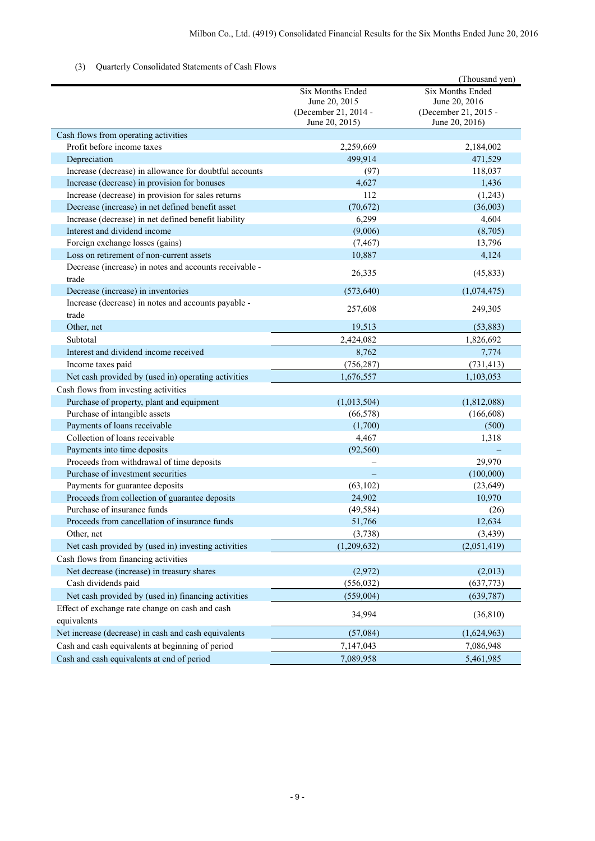### (3) Quarterly Consolidated Statements of Cash Flows

|                                                              |                      | (Thousand yen)       |
|--------------------------------------------------------------|----------------------|----------------------|
|                                                              | Six Months Ended     | Six Months Ended     |
|                                                              | June 20, 2015        | June 20, 2016        |
|                                                              | (December 21, 2014 - | (December 21, 2015 - |
|                                                              | June 20, 2015)       | June 20, 2016)       |
| Cash flows from operating activities                         |                      |                      |
| Profit before income taxes                                   | 2,259,669            | 2,184,002            |
| Depreciation                                                 | 499,914              | 471,529              |
| Increase (decrease) in allowance for doubtful accounts       | (97)                 | 118,037              |
| Increase (decrease) in provision for bonuses                 | 4,627                | 1,436                |
| Increase (decrease) in provision for sales returns           | 112                  | (1,243)              |
| Decrease (increase) in net defined benefit asset             | (70, 672)            | (36,003)             |
| Increase (decrease) in net defined benefit liability         | 6,299                | 4,604                |
| Interest and dividend income                                 | (9,006)              | (8,705)              |
| Foreign exchange losses (gains)                              | (7, 467)             | 13,796               |
| Loss on retirement of non-current assets                     | 10,887               | 4,124                |
| Decrease (increase) in notes and accounts receivable -       | 26,335               | (45, 833)            |
| trade                                                        |                      |                      |
| Decrease (increase) in inventories                           | (573, 640)           | (1,074,475)          |
| Increase (decrease) in notes and accounts payable -<br>trade | 257,608              | 249,305              |
| Other, net                                                   | 19,513               | (53, 883)            |
| Subtotal                                                     | 2,424,082            | 1,826,692            |
| Interest and dividend income received                        | 8,762                | 7,774                |
| Income taxes paid                                            | (756, 287)           | (731, 413)           |
| Net cash provided by (used in) operating activities          | 1,676,557            | 1,103,053            |
| Cash flows from investing activities                         |                      |                      |
| Purchase of property, plant and equipment                    | (1,013,504)          | (1,812,088)          |
| Purchase of intangible assets                                | (66, 578)            | (166, 608)           |
| Payments of loans receivable                                 | (1,700)              | (500)                |
| Collection of loans receivable                               | 4,467                | 1,318                |
| Payments into time deposits                                  | (92, 560)            |                      |
| Proceeds from withdrawal of time deposits                    |                      | 29,970               |
| Purchase of investment securities                            |                      | (100,000)            |
| Payments for guarantee deposits                              | (63, 102)            | (23, 649)            |
| Proceeds from collection of guarantee deposits               | 24,902               | 10,970               |
| Purchase of insurance funds                                  | (49, 584)            | (26)                 |
| Proceeds from cancellation of insurance funds                | 51,766               | 12,634               |
| Other, net                                                   | (3,738)              | (3, 439)             |
| Net cash provided by (used in) investing activities          | (1,209,632)          | (2,051,419)          |
| Cash flows from financing activities                         |                      |                      |
| Net decrease (increase) in treasury shares                   | (2,972)              | (2,013)              |
| Cash dividends paid                                          | (556, 032)           | (637,773)            |
| Net cash provided by (used in) financing activities          | (559,004)            | (639, 787)           |
| Effect of exchange rate change on cash and cash              |                      |                      |
| equivalents                                                  | 34,994               | (36, 810)            |
| Net increase (decrease) in cash and cash equivalents         | (57,084)             | (1,624,963)          |
| Cash and cash equivalents at beginning of period             | 7,147,043            | 7,086,948            |
| Cash and cash equivalents at end of period                   | 7,089,958            | 5,461,985            |